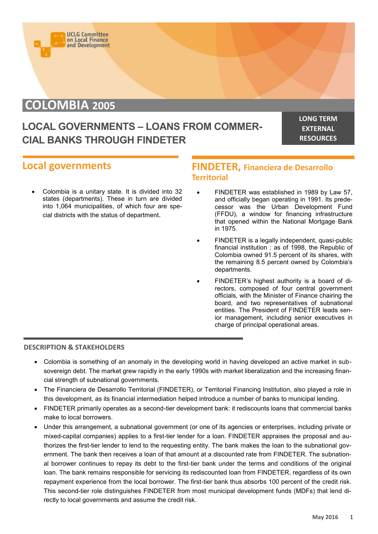

# **COLOMBIA 2005**

## **LOCAL GOVERNMENTS – LOANS FROM COMMER-CIAL BANKS THROUGH FINDETER**

**LONG TERM EXTERNAL RESOURCES**

### **Local governments**

 Colombia is a unitary state. It is divided into 32 states (departments). These in turn are divided into 1,064 municipalities, of which four are special districts with the status of department.

### **FINDETER, Financiera de Desarrollo Territorial**

- FINDETER was established in 1989 by Law 57, and officially began operating in 1991. Its predecessor was the Urban Development Fund (FFDU), a window for financing infrastructure that opened within the National Mortgage Bank in 1975.
- FINDETER is a legally independent, quasi-public financial institution : as of 1998, the Republic of Colombia owned 91.5 percent of its shares, with the remaining 8.5 percent owned by Colombia's departments.
- FINDETER's highest authority is a board of directors, composed of four central government officials, with the Minister of Finance chairing the board, and two representatives of subnational entities. The President of FINDETER leads senior management, including senior executives in charge of principal operational areas.

#### **DESCRIPTION & STAKEHOLDERS**

- Colombia is something of an anomaly in the developing world in having developed an active market in subsovereign debt. The market grew rapidly in the early 1990s with market liberalization and the increasing financial strength of subnational governments.
- The Financiera de Desarrollo Territorial (FINDETER), or Territorial Financing Institution, also played a role in this development, as its financial intermediation helped introduce a number of banks to municipal lending.
- FINDETER primarily operates as a second-tier development bank: it rediscounts loans that commercial banks make to local borrowers.
- Under this arrangement, a subnational government (or one of its agencies or enterprises, including private or mixed-capital companies) applies to a first-tier lender for a loan. FINDETER appraises the proposal and authorizes the first-tier lender to lend to the requesting entity. The bank makes the loan to the subnational government. The bank then receives a loan of that amount at a discounted rate from FINDETER. The subnational borrower continues to repay its debt to the first-tier bank under the terms and conditions of the original loan. The bank remains responsible for servicing its rediscounted loan from FINDETER, regardless of its own repayment experience from the local borrower. The first-tier bank thus absorbs 100 percent of the credit risk. This second-tier role distinguishes FINDETER from most municipal development funds (MDFs) that lend directly to local governments and assume the credit risk.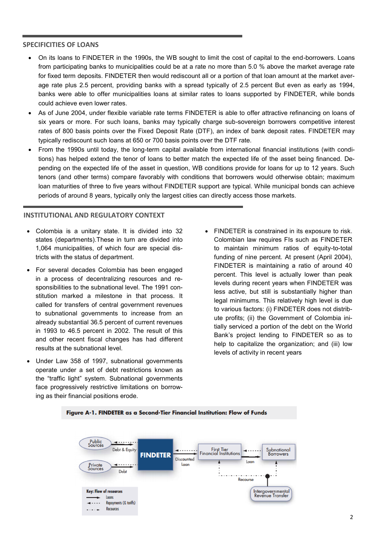#### **SPECIFICITIES OF LOANS**

- On its loans to FINDETER in the 1990s, the WB sought to limit the cost of capital to the end-borrowers. Loans from participating banks to municipalities could be at a rate no more than 5.0 % above the market average rate for fixed term deposits. FINDETER then would rediscount all or a portion of that loan amount at the market average rate plus 2.5 percent, providing banks with a spread typically of 2.5 percent But even as early as 1994, banks were able to offer municipalities loans at similar rates to loans supported by FINDETER, while bonds could achieve even lower rates.
- As of June 2004, under flexible variable rate terms FINDETER is able to offer attractive refinancing on loans of six years or more. For such loans, banks may typically charge sub-sovereign borrowers competitive interest rates of 800 basis points over the Fixed Deposit Rate (DTF), an index of bank deposit rates. FINDETER may typically rediscount such loans at 650 or 700 basis points over the DTF rate.
- From the 1990s until today, the long-term capital available from international financial institutions (with conditions) has helped extend the tenor of loans to better match the expected life of the asset being financed. Depending on the expected life of the asset in question, WB conditions provide for loans for up to 12 years. Such tenors (and other terms) compare favorably with conditions that borrowers would otherwise obtain; maximum loan maturities of three to five years without FINDETER support are typical. While municipal bonds can achieve periods of around 8 years, typically only the largest cities can directly access those markets.

#### **INSTITUTIONAL AND REGULATORY CONTEXT**

- Colombia is a unitary state. It is divided into 32 states (departments).These in turn are divided into 1,064 municipalities, of which four are special districts with the status of department.
- For several decades Colombia has been engaged in a process of decentralizing resources and responsibilities to the subnational level. The 1991 constitution marked a milestone in that process. It called for transfers of central government revenues to subnational governments to increase from an already substantial 36.5 percent of current revenues in 1993 to 46.5 percent in 2002. The result of this and other recent fiscal changes has had different results at the subnational level.
- Under Law 358 of 1997, subnational governments operate under a set of debt restrictions known as the "traffic light" system. Subnational governments face progressively restrictive limitations on borrowing as their financial positions erode.
- FINDETER is constrained in its exposure to risk. Colombian law requires FIs such as FINDETER to maintain minimum ratios of equity-to-total funding of nine percent. At present (April 2004), FINDETER is maintaining a ratio of around 40 percent. This level is actually lower than peak levels during recent years when FINDETER was less active, but still is substantially higher than legal minimums. This relatively high level is due to various factors: (i) FINDETER does not distribute profits; (ii) the Government of Colombia initially serviced a portion of the debt on the World Bank's project lending to FINDETER so as to help to capitalize the organization; and (iii) low levels of activity in recent years



#### Figure A-1. FINDETER as a Second-Tier Financial Institution: Flow of Funds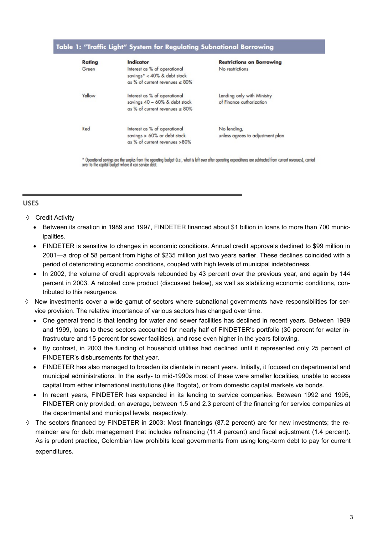#### Table 1: "Traffic Light" System for Regulating Subnational Borrowing

| Rating | Indicator                                                                                              | <b>Restrictions on Borrowing</b>                       |
|--------|--------------------------------------------------------------------------------------------------------|--------------------------------------------------------|
| Green  | Interest as % of operational<br>savings* < $40\%$ & debt stock<br>as % of current revenues $\leq 80\%$ | No restrictions                                        |
| Yellow | Interest as % of operational<br>savings 40 - 60% & debt stock<br>as % of current revenues $\leq 80\%$  | Lending only with Ministry<br>of Finance authorization |
| Red    | Interest as % of operational<br>savings > 60% or debt stock<br>as % of current revenues >80%           | No lending,<br>unless agrees to adjustment plan        |

\* Operational savings are the surplus from the operating budget (i.e., what is left over after operating expenditures are subtrocted from current revenues), carried over to the capital budget where it can service debt.

#### **USES**

- ♦ Credit Activity
	- Between its creation in 1989 and 1997, FINDETER financed about \$1 billion in loans to more than 700 municipalities.
	- FINDETER is sensitive to changes in economic conditions. Annual credit approvals declined to \$99 million in 2001—a drop of 58 percent from highs of \$235 million just two years earlier. These declines coincided with a period of deteriorating economic conditions, coupled with high levels of municipal indebtedness.
	- In 2002, the volume of credit approvals rebounded by 43 percent over the previous year, and again by 144 percent in 2003. A retooled core product (discussed below), as well as stabilizing economic conditions, contributed to this resurgence.
- $\Diamond$  New investments cover a wide gamut of sectors where subnational governments have responsibilities for service provision. The relative importance of various sectors has changed over time.
	- One general trend is that lending for water and sewer facilities has declined in recent years. Between 1989 and 1999, loans to these sectors accounted for nearly half of FINDETER's portfolio (30 percent for water infrastructure and 15 percent for sewer facilities), and rose even higher in the years following.
	- By contrast, in 2003 the funding of household utilities had declined until it represented only 25 percent of FINDETER's disbursements for that year.
	- FINDETER has also managed to broaden its clientele in recent years. Initially, it focused on departmental and municipal administrations. In the early- to mid-1990s most of these were smaller localities, unable to access capital from either international institutions (like Bogota), or from domestic capital markets via bonds.
	- In recent years, FINDETER has expanded in its lending to service companies. Between 1992 and 1995, FINDETER only provided, on average, between 1.5 and 2.3 percent of the financing for service companies at the departmental and municipal levels, respectively.
- $\Diamond$  The sectors financed by FINDETER in 2003: Most financings (87.2 percent) are for new investments; the remainder are for debt management that includes refinancing (11.4 percent) and fiscal adjustment (1.4 percent). As is prudent practice, Colombian law prohibits local governments from using long-term debt to pay for current expenditures.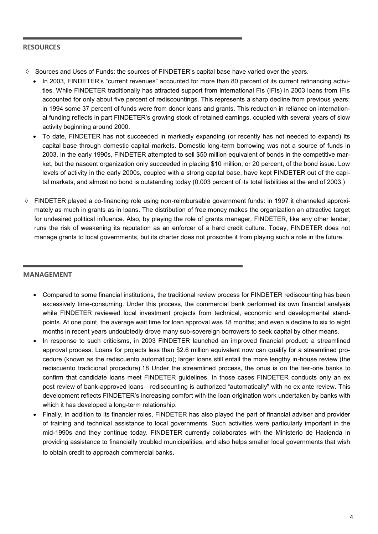#### **RESOURCES**

- $\Diamond$  Sources and Uses of Funds: the sources of FINDETER's capital base have varied over the years.
	- In 2003, FINDETER's "current revenues" accounted for more than 80 percent of its current refinancing activities. While FINDETER traditionally has attracted support from international FIs (IFIs) in 2003 loans from IFIs accounted for only about five percent of rediscountings. This represents a sharp decline from previous years: in 1994 some 37 percent of funds were from donor loans and grants. This reduction in reliance on international funding reflects in part FINDETER's growing stock of retained earnings, coupled with several years of slow activity beginning around 2000.
	- To date, FINDETER has not succeeded in markedly expanding (or recently has not needed to expand) its capital base through domestic capital markets. Domestic long-term borrowing was not a source of funds in 2003. In the early 1990s, FINDETER attempted to sell \$50 million equivalent of bonds in the competitive market, but the nascent organization only succeeded in placing \$10 million, or 20 percent, of the bond issue. Low levels of activity in the early 2000s, coupled with a strong capital base, have kept FINDETER out of the capital markets, and almost no bond is outstanding today (0.003 percent of its total liabilities at the end of 2003.)
- $\Diamond$  FINDETER played a co-financing role using non-reimbursable government funds: in 1997 it channeled approximately as much in grants as in loans. The distribution of free money makes the organization an attractive target for undesired political influence. Also, by playing the role of grants manager, FINDETER, like any other lender, runs the risk of weakening its reputation as an enforcer of a hard credit culture. Today, FINDETER does not manage grants to local governments, but its charter does not proscribe it from playing such a role in the future.

#### **MANAGEMENT**

- Compared to some financial institutions, the traditional review process for FINDETER rediscounting has been excessively time-consuming. Under this process, the commercial bank performed its own financial analysis while FINDETER reviewed local investment projects from technical, economic and developmental standpoints. At one point, the average wait time for loan approval was 18 months; and even a decline to six to eight months in recent years undoubtedly drove many sub-sovereign borrowers to seek capital by other means.
- In response to such criticisms, in 2003 FINDETER launched an improved financial product: a streamlined approval process. Loans for projects less than \$2.6 million equivalent now can qualify for a streamlined procedure (known as the rediscuento automático); larger loans still entail the more lengthy in-house review (the rediscuento tradicional procedure).18 Under the streamlined process, the onus is on the tier-one banks to confirm that candidate loans meet FINDETER guidelines. In those cases FINDETER conducts only an ex post review of bank-approved loans—rediscounting is authorized "automatically" with no ex ante review. This development reflects FINDETER's increasing comfort with the loan origination work undertaken by banks with which it has developed a long-term relationship.
- Finally, in addition to its financier roles, FINDETER has also played the part of financial adviser and provider of training and technical assistance to local governments. Such activities were particularly important in the mid-1990s and they continue today. FINDETER currently collaborates with the Ministerio de Hacienda in providing assistance to financially troubled municipalities, and also helps smaller local governments that wish to obtain credit to approach commercial banks.